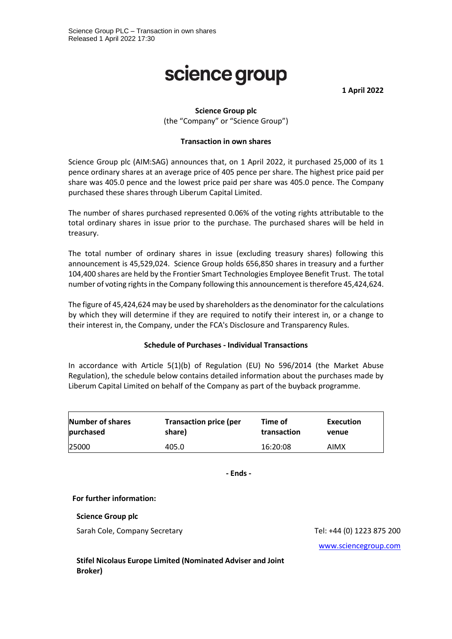# science group

**1 April 2022**

## **Science Group plc**

(the "Company" or "Science Group")

#### **Transaction in own shares**

Science Group plc (AIM:SAG) announces that, on 1 April 2022, it purchased 25,000 of its 1 pence ordinary shares at an average price of 405 pence per share. The highest price paid per share was 405.0 pence and the lowest price paid per share was 405.0 pence. The Company purchased these shares through Liberum Capital Limited.

The number of shares purchased represented 0.06% of the voting rights attributable to the total ordinary shares in issue prior to the purchase. The purchased shares will be held in treasury.

The total number of ordinary shares in issue (excluding treasury shares) following this announcement is 45,529,024. Science Group holds 656,850 shares in treasury and a further 104,400 shares are held by the Frontier Smart Technologies Employee Benefit Trust. The total number of voting rights in the Company following this announcement is therefore 45,424,624.

The figure of 45,424,624 may be used by shareholders as the denominator for the calculations by which they will determine if they are required to notify their interest in, or a change to their interest in, the Company, under the FCA's Disclosure and Transparency Rules.

#### **Schedule of Purchases - Individual Transactions**

In accordance with Article 5(1)(b) of Regulation (EU) No 596/2014 (the Market Abuse Regulation), the schedule below contains detailed information about the purchases made by Liberum Capital Limited on behalf of the Company as part of the buyback programme.

| Number of shares | <b>Transaction price (per</b> | Time of     | Execution |
|------------------|-------------------------------|-------------|-----------|
| purchased        | share)                        | transaction | venue     |
| 25000            | 405.0                         | 16:20:08    | AIMX      |

**- Ends -**

#### **For further information:**

#### **Science Group plc**

Sarah Cole, Company Secretary Tel: +44 (0) 1223 875 200

[www.sciencegroup.com](http://www.sciencegroup.com/)

**Stifel Nicolaus Europe Limited (Nominated Adviser and Joint Broker)**